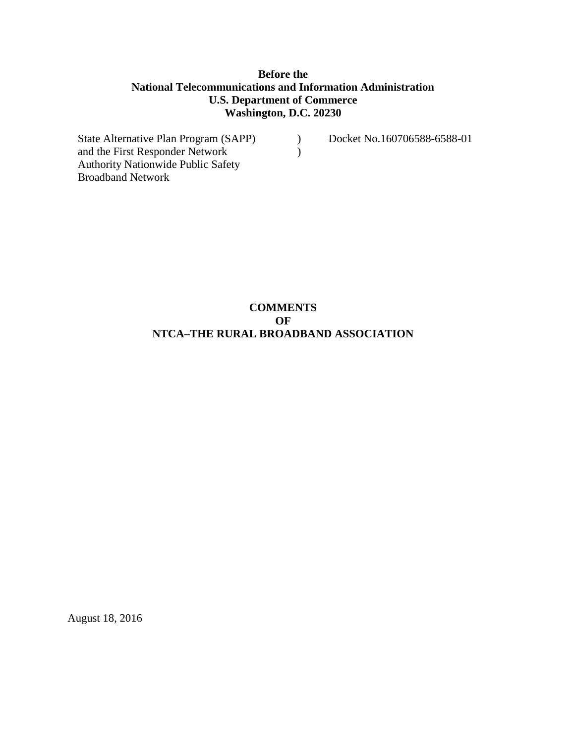#### **Before the National Telecommunications and Information Administration U.S. Department of Commerce Washington, D.C. 20230**

 $\mathcal{L}$  $\lambda$ 

State Alternative Plan Program (SAPP) and the First Responder Network Authority Nationwide Public Safety Broadband Network

Docket No.160706588-6588-01

# **COMMENTS OF NTCA–THE RURAL BROADBAND ASSOCIATION**

August 18, 2016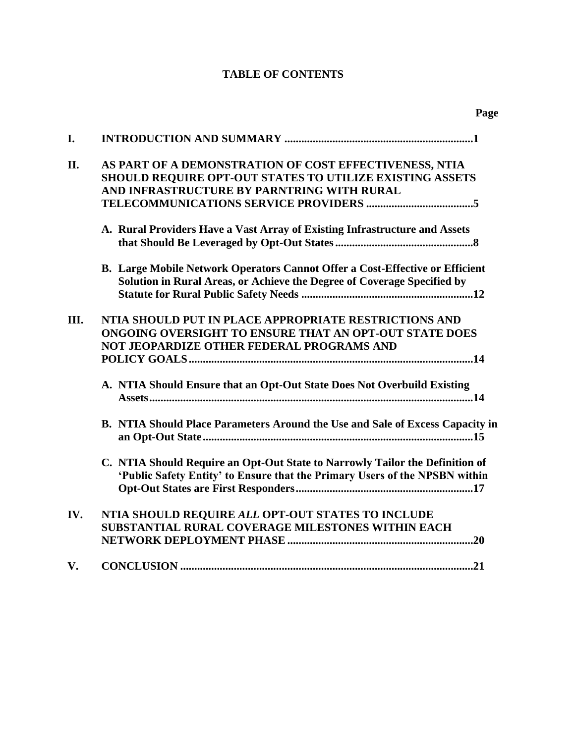# **TABLE OF CONTENTS**

| I.  |                                                                                                                                                                  |
|-----|------------------------------------------------------------------------------------------------------------------------------------------------------------------|
| II. | AS PART OF A DEMONSTRATION OF COST EFFECTIVENESS, NTIA<br>SHOULD REQUIRE OPT-OUT STATES TO UTILIZE EXISTING ASSETS<br>AND INFRASTRUCTURE BY PARNTRING WITH RURAL |
|     | A. Rural Providers Have a Vast Array of Existing Infrastructure and Assets                                                                                       |
|     | B. Large Mobile Network Operators Cannot Offer a Cost-Effective or Efficient<br>Solution in Rural Areas, or Achieve the Degree of Coverage Specified by          |
| Ш.  | NTIA SHOULD PUT IN PLACE APPROPRIATE RESTRICTIONS AND<br>ONGOING OVERSIGHT TO ENSURE THAT AN OPT-OUT STATE DOES<br>NOT JEOPARDIZE OTHER FEDERAL PROGRAMS AND     |
|     | A. NTIA Should Ensure that an Opt-Out State Does Not Overbuild Existing                                                                                          |
|     | B. NTIA Should Place Parameters Around the Use and Sale of Excess Capacity in                                                                                    |
|     | C. NTIA Should Require an Opt-Out State to Narrowly Tailor the Definition of<br>'Public Safety Entity' to Ensure that the Primary Users of the NPSBN within      |
| IV. | NTIA SHOULD REQUIRE ALL OPT-OUT STATES TO INCLUDE<br>SUBSTANTIAL RURAL COVERAGE MILESTONES WITHIN EACH                                                           |
| V.  |                                                                                                                                                                  |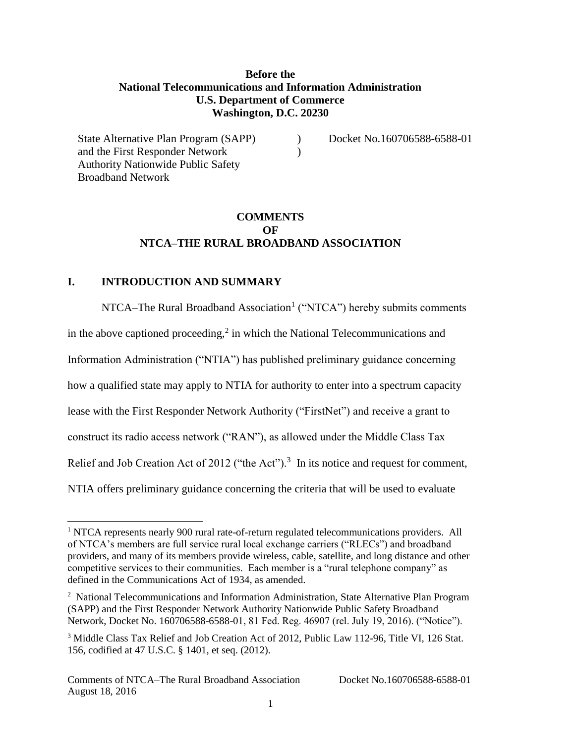#### **Before the National Telecommunications and Information Administration U.S. Department of Commerce Washington, D.C. 20230**

 $\lambda$  $\lambda$  Docket No.160706588-6588-01

# **COMMENTS OF NTCA–THE RURAL BROADBAND ASSOCIATION**

#### **I. INTRODUCTION AND SUMMARY**

State Alternative Plan Program (SAPP)

and the First Responder Network Authority Nationwide Public Safety

Broadband Network

l

NTCA–The Rural Broadband Association<sup>1</sup> ("NTCA") hereby submits comments in the above captioned proceeding, $\lambda^2$  in which the National Telecommunications and Information Administration ("NTIA") has published preliminary guidance concerning how a qualified state may apply to NTIA for authority to enter into a spectrum capacity lease with the First Responder Network Authority ("FirstNet") and receive a grant to construct its radio access network ("RAN"), as allowed under the Middle Class Tax Relief and Job Creation Act of 2012 ("the Act").<sup>3</sup> In its notice and request for comment, NTIA offers preliminary guidance concerning the criteria that will be used to evaluate

<sup>&</sup>lt;sup>1</sup> NTCA represents nearly 900 rural rate-of-return regulated telecommunications providers. All of NTCA's members are full service rural local exchange carriers ("RLECs") and broadband providers, and many of its members provide wireless, cable, satellite, and long distance and other competitive services to their communities. Each member is a "rural telephone company" as defined in the Communications Act of 1934, as amended.

<sup>&</sup>lt;sup>2</sup> National Telecommunications and Information Administration, State Alternative Plan Program (SAPP) and the First Responder Network Authority Nationwide Public Safety Broadband Network, Docket No. 160706588-6588-01, 81 Fed. Reg. 46907 (rel. July 19, 2016). ("Notice").

<sup>&</sup>lt;sup>3</sup> Middle Class Tax Relief and Job Creation Act of 2012, Public Law 112-96, Title VI, 126 Stat. 156, codified at 47 U.S.C. § 1401, et seq. (2012).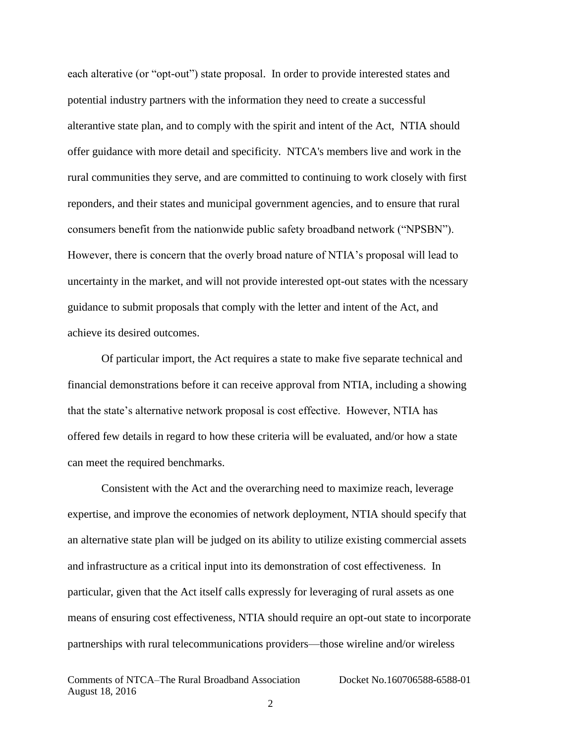each alterative (or "opt-out") state proposal. In order to provide interested states and potential industry partners with the information they need to create a successful alterantive state plan, and to comply with the spirit and intent of the Act, NTIA should offer guidance with more detail and specificity. NTCA's members live and work in the rural communities they serve, and are committed to continuing to work closely with first reponders, and their states and municipal government agencies, and to ensure that rural consumers benefit from the nationwide public safety broadband network ("NPSBN"). However, there is concern that the overly broad nature of NTIA's proposal will lead to uncertainty in the market, and will not provide interested opt-out states with the ncessary guidance to submit proposals that comply with the letter and intent of the Act, and achieve its desired outcomes.

Of particular import, the Act requires a state to make five separate technical and financial demonstrations before it can receive approval from NTIA, including a showing that the state's alternative network proposal is cost effective. However, NTIA has offered few details in regard to how these criteria will be evaluated, and/or how a state can meet the required benchmarks.

Consistent with the Act and the overarching need to maximize reach, leverage expertise, and improve the economies of network deployment, NTIA should specify that an alternative state plan will be judged on its ability to utilize existing commercial assets and infrastructure as a critical input into its demonstration of cost effectiveness. In particular, given that the Act itself calls expressly for leveraging of rural assets as one means of ensuring cost effectiveness, NTIA should require an opt-out state to incorporate partnerships with rural telecommunications providers—those wireline and/or wireless

Comments of NTCA–The Rural Broadband Association Docket No.160706588-6588-01 August 18, 2016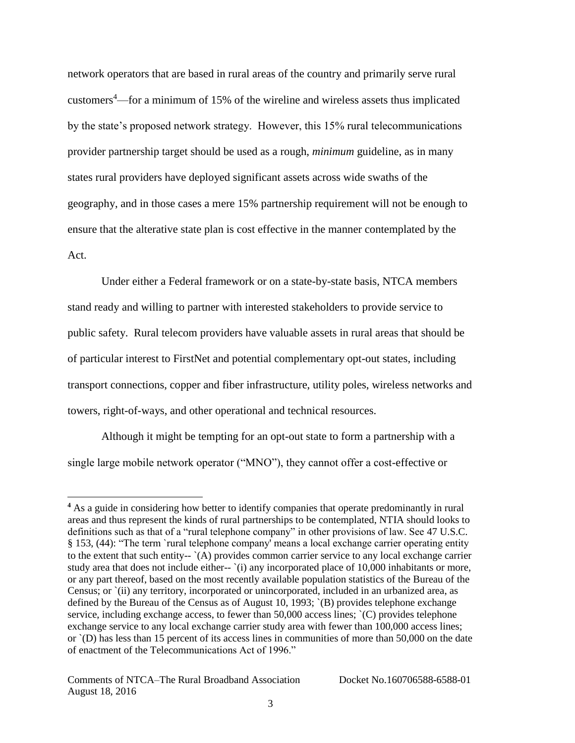network operators that are based in rural areas of the country and primarily serve rural customers<sup>4</sup>—for a minimum of 15% of the wireline and wireless assets thus implicated by the state's proposed network strategy. However, this 15% rural telecommunications provider partnership target should be used as a rough, *minimum* guideline, as in many states rural providers have deployed significant assets across wide swaths of the geography, and in those cases a mere 15% partnership requirement will not be enough to ensure that the alterative state plan is cost effective in the manner contemplated by the Act.

Under either a Federal framework or on a state-by-state basis, NTCA members stand ready and willing to partner with interested stakeholders to provide service to public safety. Rural telecom providers have valuable assets in rural areas that should be of particular interest to FirstNet and potential complementary opt-out states, including transport connections, copper and fiber infrastructure, utility poles, wireless networks and towers, right-of-ways, and other operational and technical resources.

Although it might be tempting for an opt-out state to form a partnership with a single large mobile network operator ("MNO"), they cannot offer a cost-effective or

l

<sup>&</sup>lt;sup>4</sup> As a guide in considering how better to identify companies that operate predominantly in rural areas and thus represent the kinds of rural partnerships to be contemplated, NTIA should looks to definitions such as that of a "rural telephone company" in other provisions of law. See 47 U.S.C. § 153, (44): "The term `rural telephone company' means a local exchange carrier operating entity to the extent that such entity-- `(A) provides common carrier service to any local exchange carrier study area that does not include either- $\cdot$  (i) any incorporated place of 10,000 inhabitants or more, or any part thereof, based on the most recently available population statistics of the Bureau of the Census; or `(ii) any territory, incorporated or unincorporated, included in an urbanized area, as defined by the Bureau of the Census as of August 10, 1993; `(B) provides telephone exchange service, including exchange access, to fewer than 50,000 access lines;  $(C)$  provides telephone exchange service to any local exchange carrier study area with fewer than 100,000 access lines; or `(D) has less than 15 percent of its access lines in communities of more than 50,000 on the date of enactment of the Telecommunications Act of 1996."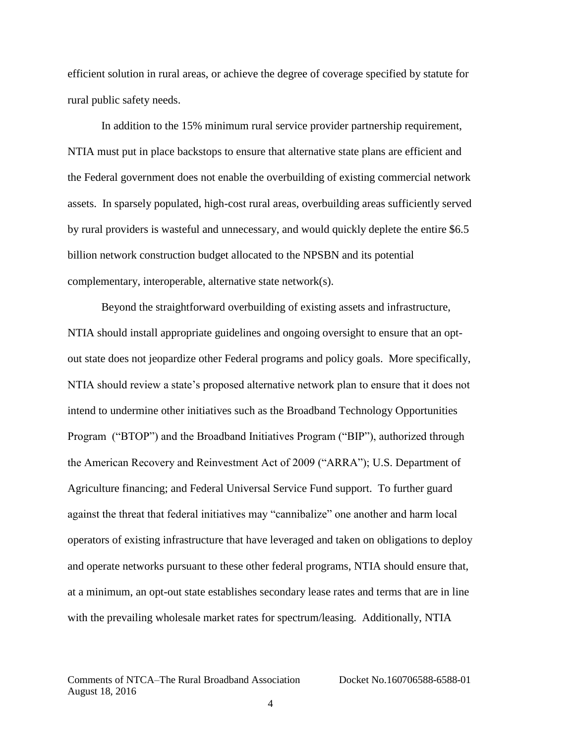efficient solution in rural areas, or achieve the degree of coverage specified by statute for rural public safety needs.

In addition to the 15% minimum rural service provider partnership requirement, NTIA must put in place backstops to ensure that alternative state plans are efficient and the Federal government does not enable the overbuilding of existing commercial network assets. In sparsely populated, high-cost rural areas, overbuilding areas sufficiently served by rural providers is wasteful and unnecessary, and would quickly deplete the entire \$6.5 billion network construction budget allocated to the NPSBN and its potential complementary, interoperable, alternative state network(s).

Beyond the straightforward overbuilding of existing assets and infrastructure, NTIA should install appropriate guidelines and ongoing oversight to ensure that an optout state does not jeopardize other Federal programs and policy goals. More specifically, NTIA should review a state's proposed alternative network plan to ensure that it does not intend to undermine other initiatives such as the Broadband Technology Opportunities Program ("BTOP") and the Broadband Initiatives Program ("BIP"), authorized through the American Recovery and Reinvestment Act of 2009 ("ARRA"); U.S. Department of Agriculture financing; and Federal Universal Service Fund support. To further guard against the threat that federal initiatives may "cannibalize" one another and harm local operators of existing infrastructure that have leveraged and taken on obligations to deploy and operate networks pursuant to these other federal programs, NTIA should ensure that, at a minimum, an opt-out state establishes secondary lease rates and terms that are in line with the prevailing wholesale market rates for spectrum/leasing. Additionally, NTIA

Comments of NTCA–The Rural Broadband Association Docket No.160706588-6588-01 August 18, 2016

4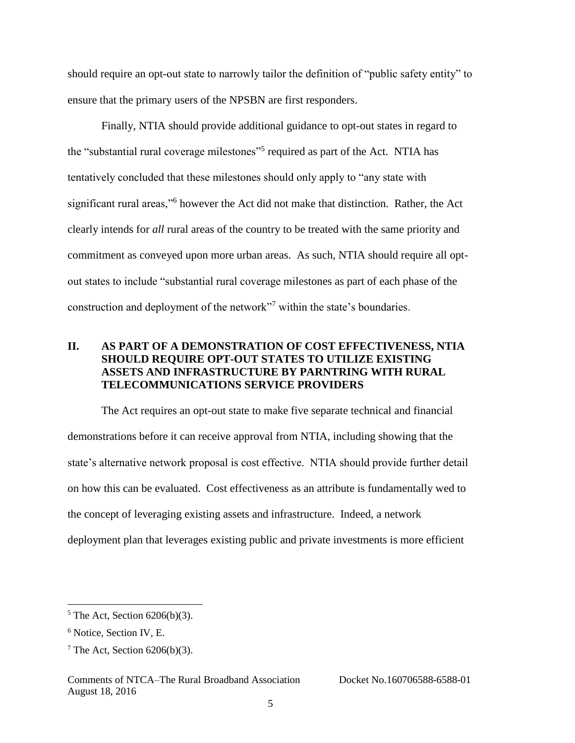should require an opt-out state to narrowly tailor the definition of "public safety entity" to ensure that the primary users of the NPSBN are first responders.

Finally, NTIA should provide additional guidance to opt-out states in regard to the "substantial rural coverage milestones"<sup>5</sup> required as part of the Act. NTIA has tentatively concluded that these milestones should only apply to "any state with significant rural areas,"<sup>6</sup> however the Act did not make that distinction. Rather, the Act clearly intends for *all* rural areas of the country to be treated with the same priority and commitment as conveyed upon more urban areas. As such, NTIA should require all optout states to include "substantial rural coverage milestones as part of each phase of the construction and deployment of the network"<sup>7</sup> within the state's boundaries.

#### **II. AS PART OF A DEMONSTRATION OF COST EFFECTIVENESS, NTIA SHOULD REQUIRE OPT-OUT STATES TO UTILIZE EXISTING ASSETS AND INFRASTRUCTURE BY PARNTRING WITH RURAL TELECOMMUNICATIONS SERVICE PROVIDERS**

The Act requires an opt-out state to make five separate technical and financial demonstrations before it can receive approval from NTIA, including showing that the state's alternative network proposal is cost effective. NTIA should provide further detail on how this can be evaluated. Cost effectiveness as an attribute is fundamentally wed to the concept of leveraging existing assets and infrastructure. Indeed, a network deployment plan that leverages existing public and private investments is more efficient

 $5$  The Act, Section 6206(b)(3).

<sup>6</sup> Notice, Section IV, E.

 $7$  The Act, Section 6206(b)(3).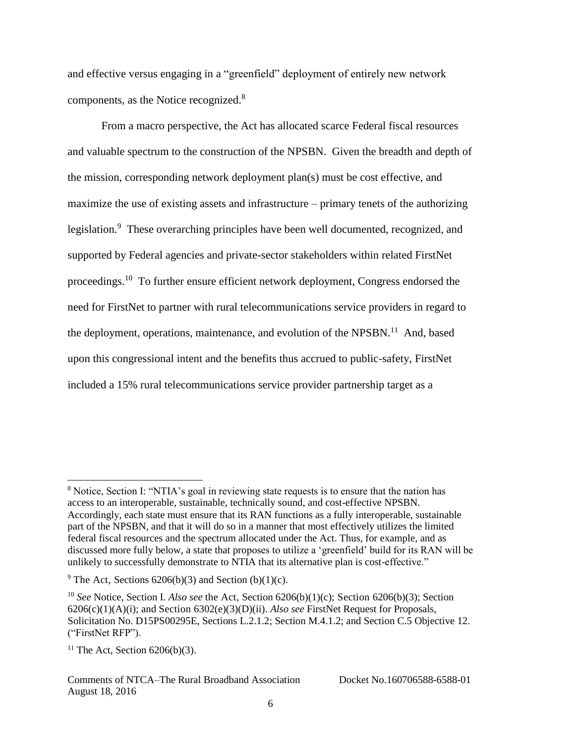and effective versus engaging in a "greenfield" deployment of entirely new network components, as the Notice recognized.<sup>8</sup>

From a macro perspective, the Act has allocated scarce Federal fiscal resources and valuable spectrum to the construction of the NPSBN. Given the breadth and depth of the mission, corresponding network deployment plan(s) must be cost effective, and maximize the use of existing assets and infrastructure – primary tenets of the authorizing legislation.<sup>9</sup> These overarching principles have been well documented, recognized, and supported by Federal agencies and private-sector stakeholders within related FirstNet proceedings.<sup>10</sup> To further ensure efficient network deployment, Congress endorsed the need for FirstNet to partner with rural telecommunications service providers in regard to the deployment, operations, maintenance, and evolution of the NPSBN.<sup>11</sup> And, based upon this congressional intent and the benefits thus accrued to public-safety, FirstNet included a 15% rural telecommunications service provider partnership target as a

l

<sup>8</sup> Notice, Section I: "NTIA's goal in reviewing state requests is to ensure that the nation has access to an interoperable, sustainable, technically sound, and cost-effective NPSBN. Accordingly, each state must ensure that its RAN functions as a fully interoperable, sustainable part of the NPSBN, and that it will do so in a manner that most effectively utilizes the limited federal fiscal resources and the spectrum allocated under the Act. Thus, for example, and as discussed more fully below, a state that proposes to utilize a 'greenfield' build for its RAN will be unlikely to successfully demonstrate to NTIA that its alternative plan is cost-effective."

<sup>&</sup>lt;sup>9</sup> The Act, Sections 6206(b)(3) and Section (b)(1)(c).

<sup>10</sup> *See* Notice, Section I. *Also see* the Act, Section 6206(b)(1)(c); Section 6206(b)(3); Section 6206(c)(1)(A)(i); and Section 6302(e)(3)(D)(ii). *Also see* FirstNet Request for Proposals, Solicitation No. D15PS00295E, Sections L.2.1.2; Section M.4.1.2; and Section C.5 Objective 12. ("FirstNet RFP").

<sup>&</sup>lt;sup>11</sup> The Act, Section  $6206(b)(3)$ .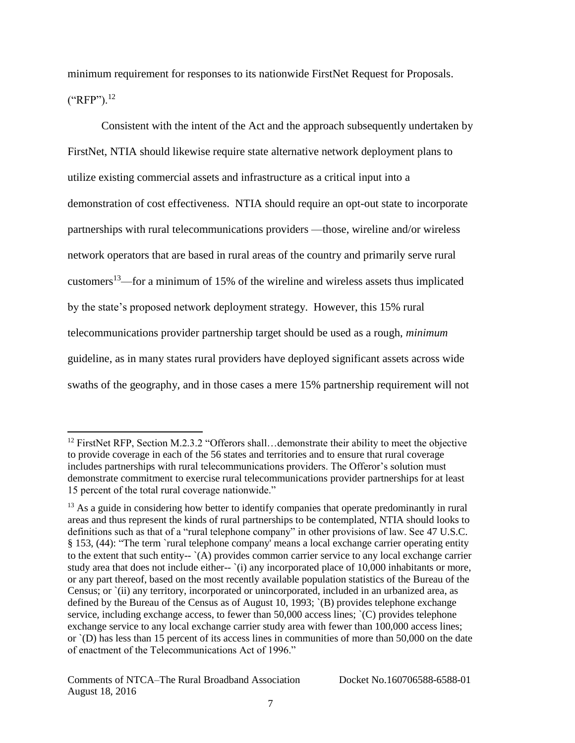minimum requirement for responses to its nationwide FirstNet Request for Proposals.  $("RFP").^{12}$ 

Consistent with the intent of the Act and the approach subsequently undertaken by FirstNet, NTIA should likewise require state alternative network deployment plans to utilize existing commercial assets and infrastructure as a critical input into a demonstration of cost effectiveness. NTIA should require an opt-out state to incorporate partnerships with rural telecommunications providers —those, wireline and/or wireless network operators that are based in rural areas of the country and primarily serve rural customers<sup>13</sup>—for a minimum of 15% of the wireline and wireless assets thus implicated by the state's proposed network deployment strategy. However, this 15% rural telecommunications provider partnership target should be used as a rough, *minimum* guideline, as in many states rural providers have deployed significant assets across wide swaths of the geography, and in those cases a mere 15% partnership requirement will not

<sup>&</sup>lt;sup>12</sup> FirstNet RFP, Section M.2.3.2 "Offerors shall...demonstrate their ability to meet the objective to provide coverage in each of the 56 states and territories and to ensure that rural coverage includes partnerships with rural telecommunications providers. The Offeror's solution must demonstrate commitment to exercise rural telecommunications provider partnerships for at least 15 percent of the total rural coverage nationwide."

<sup>&</sup>lt;sup>13</sup> As a guide in considering how better to identify companies that operate predominantly in rural areas and thus represent the kinds of rural partnerships to be contemplated, NTIA should looks to definitions such as that of a "rural telephone company" in other provisions of law. See 47 U.S.C. § 153, (44): "The term `rural telephone company' means a local exchange carrier operating entity to the extent that such entity-- `(A) provides common carrier service to any local exchange carrier study area that does not include either-- '(i) any incorporated place of 10,000 inhabitants or more, or any part thereof, based on the most recently available population statistics of the Bureau of the Census; or `(ii) any territory, incorporated or unincorporated, included in an urbanized area, as defined by the Bureau of the Census as of August 10, 1993; `(B) provides telephone exchange service, including exchange access, to fewer than 50,000 access lines;  $(C)$  provides telephone exchange service to any local exchange carrier study area with fewer than 100,000 access lines; or `(D) has less than 15 percent of its access lines in communities of more than 50,000 on the date of enactment of the Telecommunications Act of 1996."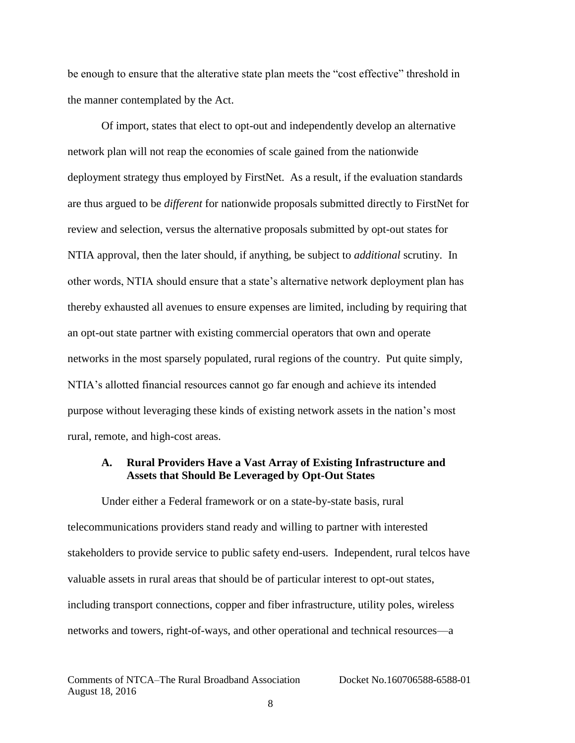be enough to ensure that the alterative state plan meets the "cost effective" threshold in the manner contemplated by the Act.

Of import, states that elect to opt-out and independently develop an alternative network plan will not reap the economies of scale gained from the nationwide deployment strategy thus employed by FirstNet. As a result, if the evaluation standards are thus argued to be *different* for nationwide proposals submitted directly to FirstNet for review and selection, versus the alternative proposals submitted by opt-out states for NTIA approval, then the later should, if anything, be subject to *additional* scrutiny. In other words, NTIA should ensure that a state's alternative network deployment plan has thereby exhausted all avenues to ensure expenses are limited, including by requiring that an opt-out state partner with existing commercial operators that own and operate networks in the most sparsely populated, rural regions of the country. Put quite simply, NTIA's allotted financial resources cannot go far enough and achieve its intended purpose without leveraging these kinds of existing network assets in the nation's most rural, remote, and high-cost areas.

#### **A. Rural Providers Have a Vast Array of Existing Infrastructure and Assets that Should Be Leveraged by Opt-Out States**

Under either a Federal framework or on a state-by-state basis, rural telecommunications providers stand ready and willing to partner with interested stakeholders to provide service to public safety end-users. Independent, rural telcos have valuable assets in rural areas that should be of particular interest to opt-out states, including transport connections, copper and fiber infrastructure, utility poles, wireless networks and towers, right-of-ways, and other operational and technical resources—a

Comments of NTCA–The Rural Broadband Association Docket No.160706588-6588-01 August 18, 2016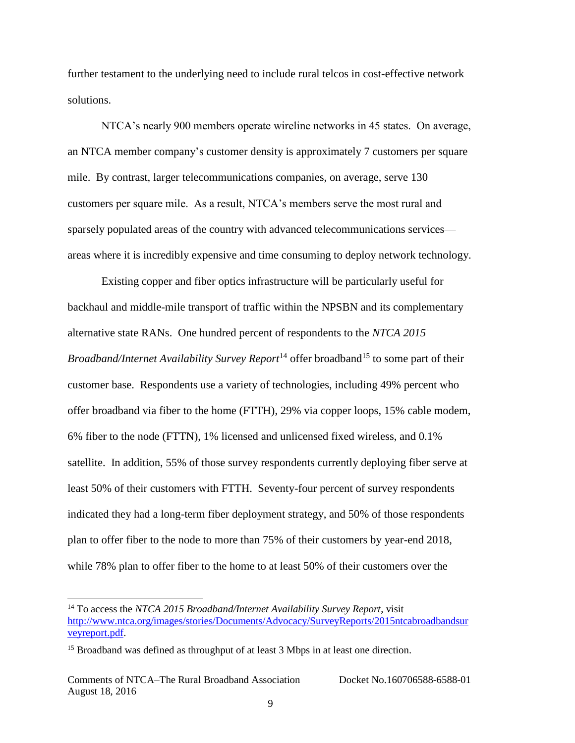further testament to the underlying need to include rural telcos in cost-effective network solutions.

NTCA's nearly 900 members operate wireline networks in 45 states. On average, an NTCA member company's customer density is approximately 7 customers per square mile. By contrast, larger telecommunications companies, on average, serve 130 customers per square mile. As a result, NTCA's members serve the most rural and sparsely populated areas of the country with advanced telecommunications services areas where it is incredibly expensive and time consuming to deploy network technology.

Existing copper and fiber optics infrastructure will be particularly useful for backhaul and middle-mile transport of traffic within the NPSBN and its complementary alternative state RANs. One hundred percent of respondents to the *NTCA 2015 Broadband/Internet Availability Survey Report*<sup>14</sup> offer broadband<sup>15</sup> to some part of their customer base. Respondents use a variety of technologies, including 49% percent who offer broadband via fiber to the home (FTTH), 29% via copper loops, 15% cable modem, 6% fiber to the node (FTTN), 1% licensed and unlicensed fixed wireless, and 0.1% satellite. In addition, 55% of those survey respondents currently deploying fiber serve at least 50% of their customers with FTTH. Seventy-four percent of survey respondents indicated they had a long-term fiber deployment strategy, and 50% of those respondents plan to offer fiber to the node to more than 75% of their customers by year-end 2018, while 78% plan to offer fiber to the home to at least 50% of their customers over the

<sup>14</sup> To access the *NTCA 2015 Broadband/Internet Availability Survey Report*, visit [http://www.ntca.org/images/stories/Documents/Advocacy/SurveyReports/2015ntcabroadbandsur](http://www.ntca.org/images/stories/Documents/Advocacy/SurveyReports/2015ntcabroadbandsurveyreport.pdf) [veyreport.pdf.](http://www.ntca.org/images/stories/Documents/Advocacy/SurveyReports/2015ntcabroadbandsurveyreport.pdf)

<sup>&</sup>lt;sup>15</sup> Broadband was defined as throughput of at least 3 Mbps in at least one direction.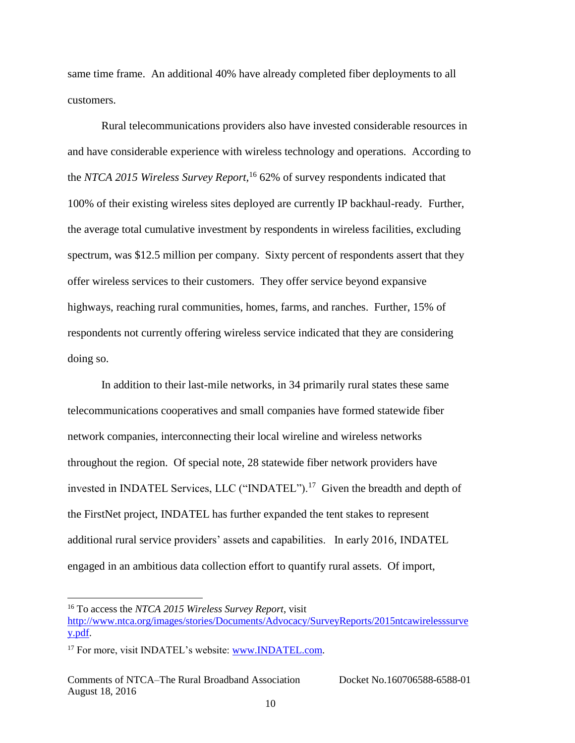same time frame. An additional 40% have already completed fiber deployments to all customers.

Rural telecommunications providers also have invested considerable resources in and have considerable experience with wireless technology and operations. According to the *NTCA 2015 Wireless Survey Report,*<sup>16</sup> 62% of survey respondents indicated that 100% of their existing wireless sites deployed are currently IP backhaul-ready*.* Further, the average total cumulative investment by respondents in wireless facilities, excluding spectrum, was \$12.5 million per company. Sixty percent of respondents assert that they offer wireless services to their customers. They offer service beyond expansive highways, reaching rural communities, homes, farms, and ranches. Further, 15% of respondents not currently offering wireless service indicated that they are considering doing so.

In addition to their last-mile networks, in 34 primarily rural states these same telecommunications cooperatives and small companies have formed statewide fiber network companies, interconnecting their local wireline and wireless networks throughout the region. Of special note, 28 statewide fiber network providers have invested in INDATEL Services, LLC ("INDATEL").<sup>17</sup> Given the breadth and depth of the FirstNet project, INDATEL has further expanded the tent stakes to represent additional rural service providers' assets and capabilities. In early 2016, INDATEL engaged in an ambitious data collection effort to quantify rural assets. Of import,

<sup>16</sup> To access the *NTCA 2015 Wireless Survey Report*, visit

[http://www.ntca.org/images/stories/Documents/Advocacy/SurveyReports/2015ntcawirelesssurve](http://www.ntca.org/images/stories/Documents/Advocacy/SurveyReports/2015ntcawirelesssurvey.pdf) [y.pdf.](http://www.ntca.org/images/stories/Documents/Advocacy/SurveyReports/2015ntcawirelesssurvey.pdf)

<sup>&</sup>lt;sup>17</sup> For more, visit INDATEL's website: [www.INDATEL.com.](http://www.indatel.com/)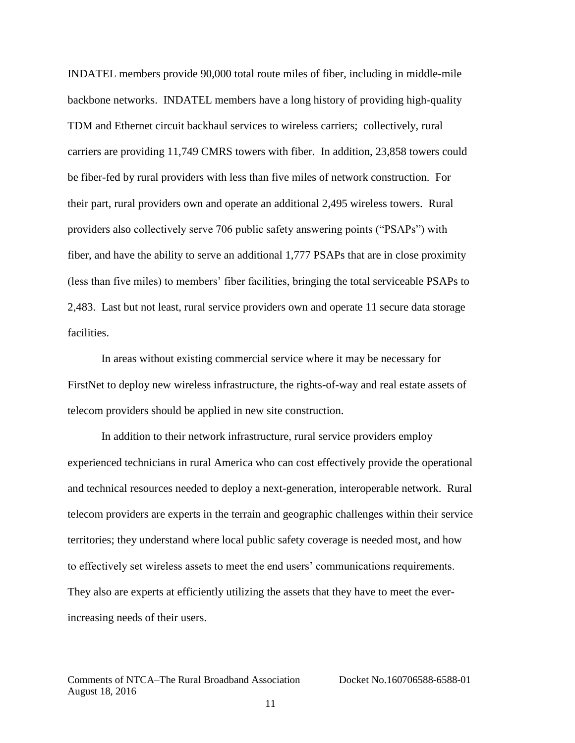INDATEL members provide 90,000 total route miles of fiber, including in middle-mile backbone networks. INDATEL members have a long history of providing high-quality TDM and Ethernet circuit backhaul services to wireless carriers; collectively, rural carriers are providing 11,749 CMRS towers with fiber. In addition, 23,858 towers could be fiber-fed by rural providers with less than five miles of network construction. For their part, rural providers own and operate an additional 2,495 wireless towers. Rural providers also collectively serve 706 public safety answering points ("PSAPs") with fiber, and have the ability to serve an additional 1,777 PSAPs that are in close proximity (less than five miles) to members' fiber facilities, bringing the total serviceable PSAPs to 2,483. Last but not least, rural service providers own and operate 11 secure data storage facilities.

In areas without existing commercial service where it may be necessary for FirstNet to deploy new wireless infrastructure, the rights-of-way and real estate assets of telecom providers should be applied in new site construction.

In addition to their network infrastructure, rural service providers employ experienced technicians in rural America who can cost effectively provide the operational and technical resources needed to deploy a next-generation, interoperable network. Rural telecom providers are experts in the terrain and geographic challenges within their service territories; they understand where local public safety coverage is needed most, and how to effectively set wireless assets to meet the end users' communications requirements. They also are experts at efficiently utilizing the assets that they have to meet the everincreasing needs of their users.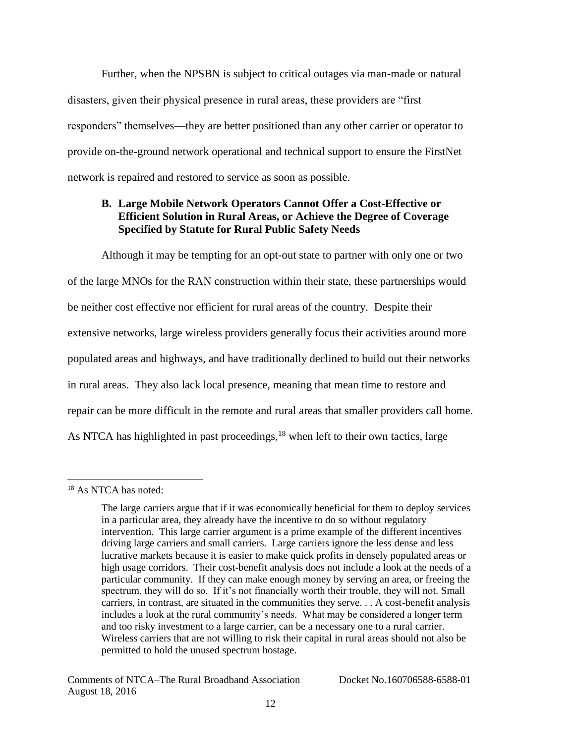Further, when the NPSBN is subject to critical outages via man-made or natural disasters, given their physical presence in rural areas, these providers are "first responders" themselves—they are better positioned than any other carrier or operator to provide on-the-ground network operational and technical support to ensure the FirstNet network is repaired and restored to service as soon as possible.

# **B. Large Mobile Network Operators Cannot Offer a Cost-Effective or Efficient Solution in Rural Areas, or Achieve the Degree of Coverage Specified by Statute for Rural Public Safety Needs**

Although it may be tempting for an opt-out state to partner with only one or two of the large MNOs for the RAN construction within their state, these partnerships would be neither cost effective nor efficient for rural areas of the country. Despite their extensive networks, large wireless providers generally focus their activities around more populated areas and highways, and have traditionally declined to build out their networks in rural areas. They also lack local presence, meaning that mean time to restore and repair can be more difficult in the remote and rural areas that smaller providers call home. As NTCA has highlighted in past proceedings,<sup>18</sup> when left to their own tactics, large

l <sup>18</sup> As NTCA has noted:

The large carriers argue that if it was economically beneficial for them to deploy services in a particular area, they already have the incentive to do so without regulatory intervention. This large carrier argument is a prime example of the different incentives driving large carriers and small carriers. Large carriers ignore the less dense and less lucrative markets because it is easier to make quick profits in densely populated areas or high usage corridors. Their cost-benefit analysis does not include a look at the needs of a particular community. If they can make enough money by serving an area, or freeing the spectrum, they will do so. If it's not financially worth their trouble, they will not. Small carriers, in contrast, are situated in the communities they serve. . . A cost-benefit analysis includes a look at the rural community's needs. What may be considered a longer term and too risky investment to a large carrier, can be a necessary one to a rural carrier. Wireless carriers that are not willing to risk their capital in rural areas should not also be permitted to hold the unused spectrum hostage.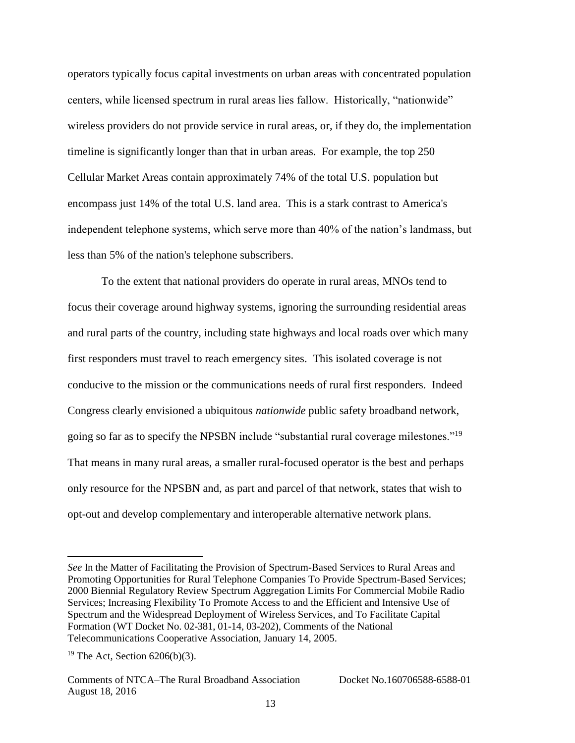operators typically focus capital investments on urban areas with concentrated population centers, while licensed spectrum in rural areas lies fallow. Historically, "nationwide" wireless providers do not provide service in rural areas, or, if they do, the implementation timeline is significantly longer than that in urban areas. For example, the top 250 Cellular Market Areas contain approximately 74% of the total U.S. population but encompass just 14% of the total U.S. land area. This is a stark contrast to America's independent telephone systems, which serve more than 40% of the nation's landmass, but less than 5% of the nation's telephone subscribers.

To the extent that national providers do operate in rural areas, MNOs tend to focus their coverage around highway systems, ignoring the surrounding residential areas and rural parts of the country, including state highways and local roads over which many first responders must travel to reach emergency sites. This isolated coverage is not conducive to the mission or the communications needs of rural first responders. Indeed Congress clearly envisioned a ubiquitous *nationwide* public safety broadband network, going so far as to specify the NPSBN include "substantial rural coverage milestones."<sup>19</sup> That means in many rural areas, a smaller rural-focused operator is the best and perhaps only resource for the NPSBN and, as part and parcel of that network, states that wish to opt-out and develop complementary and interoperable alternative network plans.

*See* In the Matter of Facilitating the Provision of Spectrum-Based Services to Rural Areas and Promoting Opportunities for Rural Telephone Companies To Provide Spectrum-Based Services; 2000 Biennial Regulatory Review Spectrum Aggregation Limits For Commercial Mobile Radio Services; Increasing Flexibility To Promote Access to and the Efficient and Intensive Use of Spectrum and the Widespread Deployment of Wireless Services, and To Facilitate Capital Formation (WT Docket No. 02-381, 01-14, 03-202), Comments of the National Telecommunications Cooperative Association, January 14, 2005.

<sup>&</sup>lt;sup>19</sup> The Act, Section  $6206(b)(3)$ .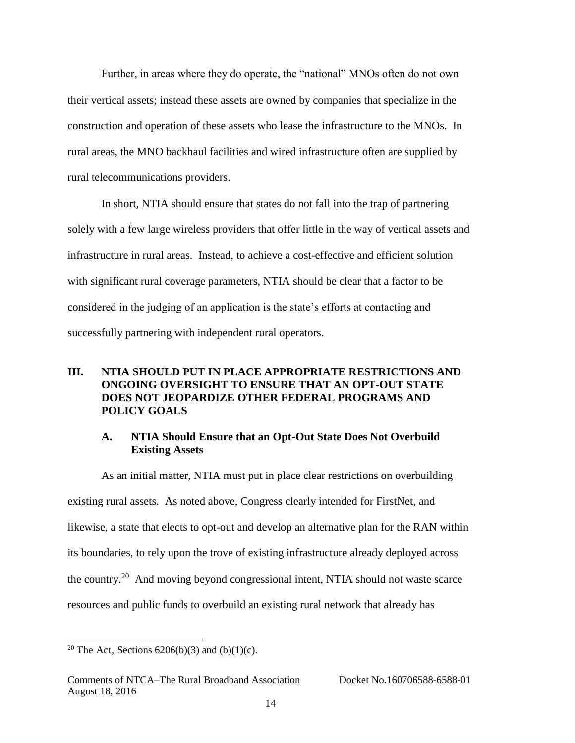Further, in areas where they do operate, the "national" MNOs often do not own their vertical assets; instead these assets are owned by companies that specialize in the construction and operation of these assets who lease the infrastructure to the MNOs. In rural areas, the MNO backhaul facilities and wired infrastructure often are supplied by rural telecommunications providers.

In short, NTIA should ensure that states do not fall into the trap of partnering solely with a few large wireless providers that offer little in the way of vertical assets and infrastructure in rural areas. Instead, to achieve a cost-effective and efficient solution with significant rural coverage parameters, NTIA should be clear that a factor to be considered in the judging of an application is the state's efforts at contacting and successfully partnering with independent rural operators.

### **III. NTIA SHOULD PUT IN PLACE APPROPRIATE RESTRICTIONS AND ONGOING OVERSIGHT TO ENSURE THAT AN OPT-OUT STATE DOES NOT JEOPARDIZE OTHER FEDERAL PROGRAMS AND POLICY GOALS**

#### **A. NTIA Should Ensure that an Opt-Out State Does Not Overbuild Existing Assets**

As an initial matter, NTIA must put in place clear restrictions on overbuilding existing rural assets. As noted above, Congress clearly intended for FirstNet, and likewise, a state that elects to opt-out and develop an alternative plan for the RAN within its boundaries, to rely upon the trove of existing infrastructure already deployed across the country.<sup>20</sup> And moving beyond congressional intent, NTIA should not waste scarce resources and public funds to overbuild an existing rural network that already has

<sup>&</sup>lt;sup>20</sup> The Act, Sections  $6206(b)(3)$  and  $(b)(1)(c)$ .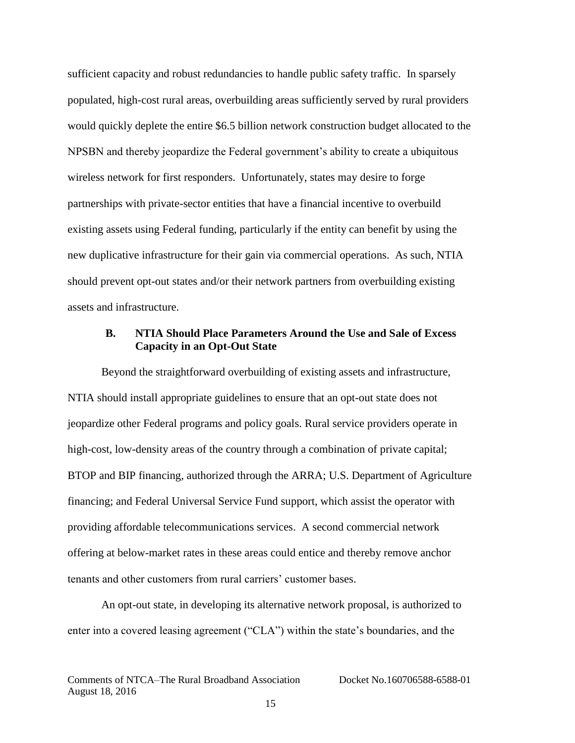sufficient capacity and robust redundancies to handle public safety traffic. In sparsely populated, high-cost rural areas, overbuilding areas sufficiently served by rural providers would quickly deplete the entire \$6.5 billion network construction budget allocated to the NPSBN and thereby jeopardize the Federal government's ability to create a ubiquitous wireless network for first responders. Unfortunately, states may desire to forge partnerships with private-sector entities that have a financial incentive to overbuild existing assets using Federal funding, particularly if the entity can benefit by using the new duplicative infrastructure for their gain via commercial operations. As such, NTIA should prevent opt-out states and/or their network partners from overbuilding existing assets and infrastructure.

#### **B. NTIA Should Place Parameters Around the Use and Sale of Excess Capacity in an Opt-Out State**

Beyond the straightforward overbuilding of existing assets and infrastructure, NTIA should install appropriate guidelines to ensure that an opt-out state does not jeopardize other Federal programs and policy goals. Rural service providers operate in high-cost, low-density areas of the country through a combination of private capital; BTOP and BIP financing, authorized through the ARRA; U.S. Department of Agriculture financing; and Federal Universal Service Fund support, which assist the operator with providing affordable telecommunications services. A second commercial network offering at below-market rates in these areas could entice and thereby remove anchor tenants and other customers from rural carriers' customer bases.

An opt-out state, in developing its alternative network proposal, is authorized to enter into a covered leasing agreement ("CLA") within the state's boundaries, and the

Comments of NTCA–The Rural Broadband Association Docket No.160706588-6588-01 August 18, 2016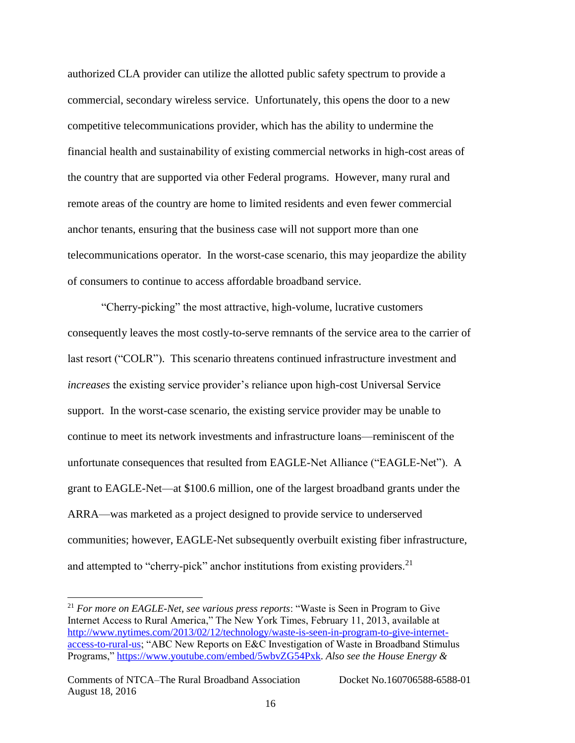authorized CLA provider can utilize the allotted public safety spectrum to provide a commercial, secondary wireless service. Unfortunately, this opens the door to a new competitive telecommunications provider, which has the ability to undermine the financial health and sustainability of existing commercial networks in high-cost areas of the country that are supported via other Federal programs. However, many rural and remote areas of the country are home to limited residents and even fewer commercial anchor tenants, ensuring that the business case will not support more than one telecommunications operator. In the worst-case scenario, this may jeopardize the ability of consumers to continue to access affordable broadband service.

"Cherry-picking" the most attractive, high-volume, lucrative customers consequently leaves the most costly-to-serve remnants of the service area to the carrier of last resort ("COLR"). This scenario threatens continued infrastructure investment and *increases* the existing service provider's reliance upon high-cost Universal Service support. In the worst-case scenario, the existing service provider may be unable to continue to meet its network investments and infrastructure loans—reminiscent of the unfortunate consequences that resulted from EAGLE-Net Alliance ("EAGLE-Net"). A grant to EAGLE-Net—at \$100.6 million, one of the largest broadband grants under the ARRA—was marketed as a project designed to provide service to underserved communities; however, EAGLE-Net subsequently overbuilt existing fiber infrastructure, and attempted to "cherry-pick" anchor institutions from existing providers.<sup>21</sup>

<sup>21</sup> *For more on EAGLE-Net, see various press reports*: "Waste is Seen in Program to Give Internet Access to Rural America," The New York Times, February 11, 2013, available at [http://www.nytimes.com/2013/02/12/technology/waste-is-seen-in-program-to-give-internet](http://www.nytimes.com/2013/02/12/technology/waste-is-seen-in-program-to-give-internet-access-to-rural-us)[access-to-rural-us;](http://www.nytimes.com/2013/02/12/technology/waste-is-seen-in-program-to-give-internet-access-to-rural-us) "ABC New Reports on E&C Investigation of Waste in Broadband Stimulus Programs," [https://www.youtube.com/embed/5wbvZG54Pxk.](https://www.youtube.com/embed/5wbvZG54Pxk) *Also see the House Energy &*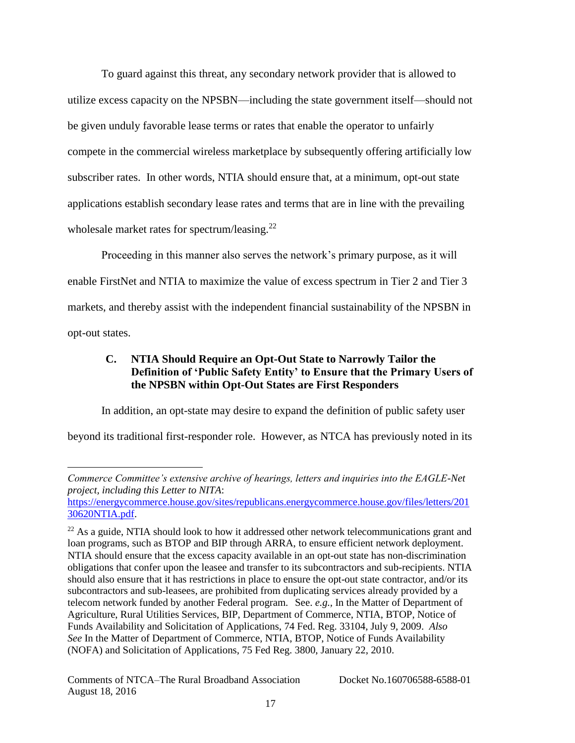To guard against this threat, any secondary network provider that is allowed to utilize excess capacity on the NPSBN—including the state government itself—should not be given unduly favorable lease terms or rates that enable the operator to unfairly compete in the commercial wireless marketplace by subsequently offering artificially low subscriber rates. In other words, NTIA should ensure that, at a minimum, opt-out state applications establish secondary lease rates and terms that are in line with the prevailing wholesale market rates for spectrum/leasing.<sup>22</sup>

Proceeding in this manner also serves the network's primary purpose, as it will enable FirstNet and NTIA to maximize the value of excess spectrum in Tier 2 and Tier 3 markets, and thereby assist with the independent financial sustainability of the NPSBN in opt-out states.

# **C. NTIA Should Require an Opt-Out State to Narrowly Tailor the Definition of 'Public Safety Entity' to Ensure that the Primary Users of the NPSBN within Opt-Out States are First Responders**

In addition, an opt-state may desire to expand the definition of public safety user beyond its traditional first-responder role. However, as NTCA has previously noted in its

*Commerce Committee's extensive archive of hearings, letters and inquiries into the EAGLE-Net project, including this Letter to NITA*:

[https://energycommerce.house.gov/sites/republicans.energycommerce.house.gov/files/letters/201](https://energycommerce.house.gov/sites/republicans.energycommerce.house.gov/files/letters/20130620NTIA.pdf) [30620NTIA.pdf.](https://energycommerce.house.gov/sites/republicans.energycommerce.house.gov/files/letters/20130620NTIA.pdf)

 $22$  As a guide, NTIA should look to how it addressed other network telecommunications grant and loan programs, such as BTOP and BIP through ARRA, to ensure efficient network deployment. NTIA should ensure that the excess capacity available in an opt-out state has non-discrimination obligations that confer upon the leasee and transfer to its subcontractors and sub-recipients. NTIA should also ensure that it has restrictions in place to ensure the opt-out state contractor, and/or its subcontractors and sub-leasees, are prohibited from duplicating services already provided by a telecom network funded by another Federal program. See. *e.g.,* In the Matter of Department of Agriculture, Rural Utilities Services, BIP, Department of Commerce, NTIA, BTOP, Notice of Funds Availability and Solicitation of Applications, 74 Fed. Reg. 33104, July 9, 2009. *Also See* In the Matter of Department of Commerce, NTIA, BTOP, Notice of Funds Availability (NOFA) and Solicitation of Applications, 75 Fed Reg. 3800, January 22, 2010.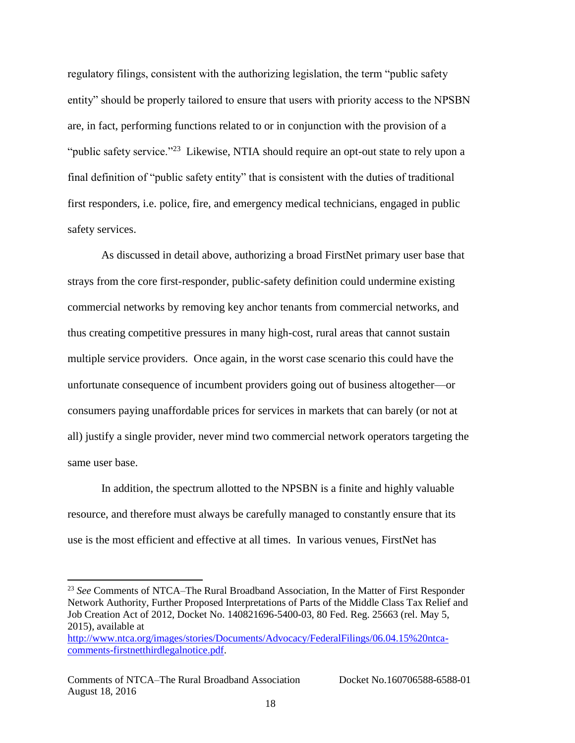regulatory filings, consistent with the authorizing legislation, the term "public safety entity" should be properly tailored to ensure that users with priority access to the NPSBN are, in fact, performing functions related to or in conjunction with the provision of a "public safety service."<sup>23</sup> Likewise, NTIA should require an opt-out state to rely upon a final definition of "public safety entity" that is consistent with the duties of traditional first responders, i.e. police, fire, and emergency medical technicians, engaged in public safety services.

As discussed in detail above, authorizing a broad FirstNet primary user base that strays from the core first-responder, public-safety definition could undermine existing commercial networks by removing key anchor tenants from commercial networks, and thus creating competitive pressures in many high-cost, rural areas that cannot sustain multiple service providers.Once again, in the worst case scenario this could have the unfortunate consequence of incumbent providers going out of business altogether—or consumers paying unaffordable prices for services in markets that can barely (or not at all) justify a single provider, never mind two commercial network operators targeting the same user base.

In addition, the spectrum allotted to the NPSBN is a finite and highly valuable resource, and therefore must always be carefully managed to constantly ensure that its use is the most efficient and effective at all times. In various venues, FirstNet has

<sup>23</sup> *See* Comments of NTCA–The Rural Broadband Association, In the Matter of First Responder Network Authority, Further Proposed Interpretations of Parts of the Middle Class Tax Relief and Job Creation Act of 2012, Docket No. 140821696-5400-03, 80 Fed. Reg. 25663 (rel. May 5, 2015), available at

[http://www.ntca.org/images/stories/Documents/Advocacy/FederalFilings/06.04.15%20ntca](http://www.ntca.org/images/stories/Documents/Advocacy/FederalFilings/06.04.15%20ntca-comments-firstnetthirdlegalnotice.pdf)[comments-firstnetthirdlegalnotice.pdf.](http://www.ntca.org/images/stories/Documents/Advocacy/FederalFilings/06.04.15%20ntca-comments-firstnetthirdlegalnotice.pdf)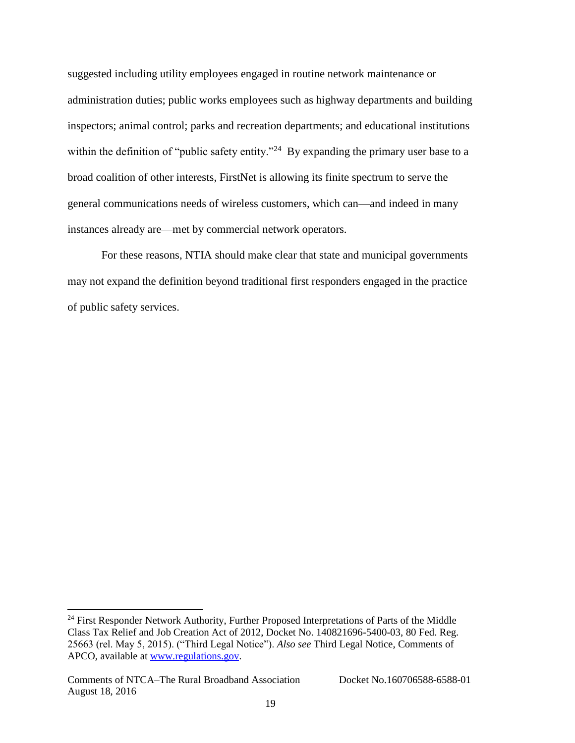suggested including utility employees engaged in routine network maintenance or administration duties; public works employees such as highway departments and building inspectors; animal control; parks and recreation departments; and educational institutions within the definition of "public safety entity."<sup>24</sup> By expanding the primary user base to a broad coalition of other interests, FirstNet is allowing its finite spectrum to serve the general communications needs of wireless customers, which can—and indeed in many instances already are—met by commercial network operators.

For these reasons, NTIA should make clear that state and municipal governments may not expand the definition beyond traditional first responders engaged in the practice of public safety services.

 $24$  First Responder Network Authority, Further Proposed Interpretations of Parts of the Middle Class Tax Relief and Job Creation Act of 2012, Docket No. 140821696-5400-03, 80 Fed. Reg. 25663 (rel. May 5, 2015). ("Third Legal Notice"). *Also see* Third Legal Notice, Comments of APCO, available at [www.regulations.gov.](http://www.regulations.gov/)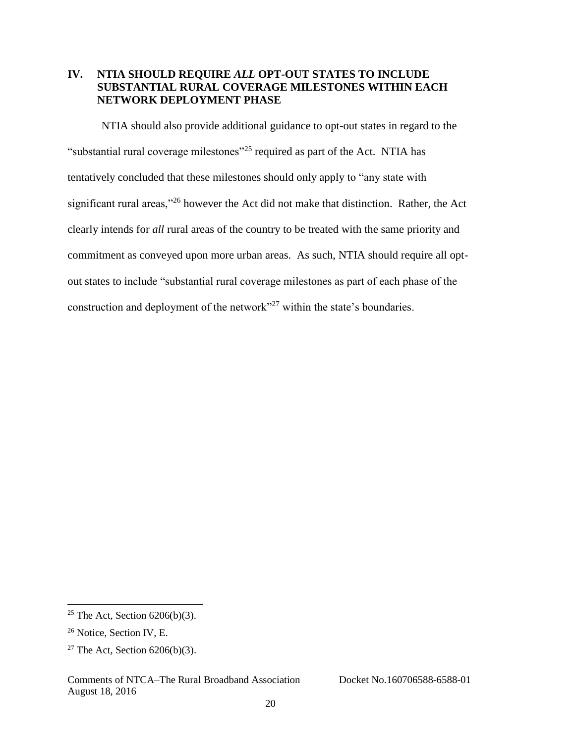# **IV. NTIA SHOULD REQUIRE** *ALL* **OPT-OUT STATES TO INCLUDE SUBSTANTIAL RURAL COVERAGE MILESTONES WITHIN EACH NETWORK DEPLOYMENT PHASE**

NTIA should also provide additional guidance to opt-out states in regard to the "substantial rural coverage milestones"<sup>25</sup> required as part of the Act. NTIA has tentatively concluded that these milestones should only apply to "any state with significant rural areas,"<sup>26</sup> however the Act did not make that distinction. Rather, the Act clearly intends for *all* rural areas of the country to be treated with the same priority and commitment as conveyed upon more urban areas. As such, NTIA should require all optout states to include "substantial rural coverage milestones as part of each phase of the construction and deployment of the network"<sup>27</sup> within the state's boundaries.

<sup>&</sup>lt;sup>25</sup> The Act, Section  $6206(b)(3)$ .

<sup>&</sup>lt;sup>26</sup> Notice, Section IV, E.

<sup>&</sup>lt;sup>27</sup> The Act, Section  $6206(b)(3)$ .